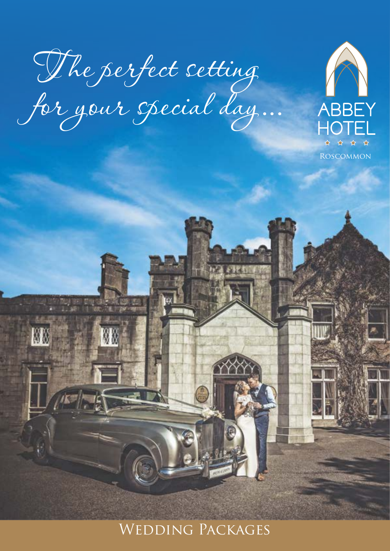T he perfect setting for your special day...

蘭蘭



Wedding Packages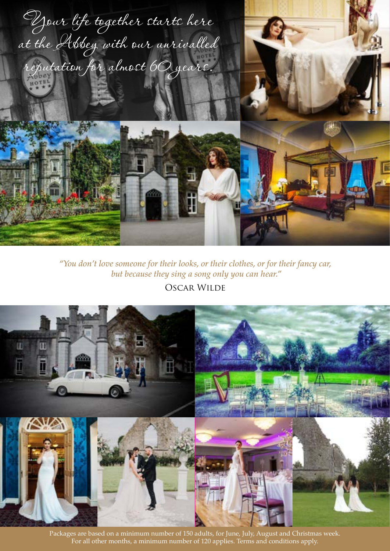

*"You don't love someone for their looks, or their clothes, or for their fancy car, but because they sing a song only you can hear."*

# Oscar Wilde



Packages are based on a minimum number of 150 adults, for June, July, August and Christmas week. For all other months, a minimum number of 120 applies. Terms and conditions apply.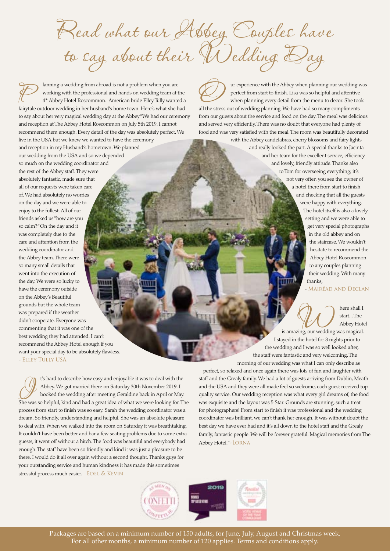Read what our Abbey Couples have to say about their Wedding Day

Janning a wedding from abroad is not a problem when you are<br>working with the professional and hands on wedding team at t<br>4\* Abbey Hotel Roscommon. American bride Elley Tully wante working with the professional and hands on wedding team at the 4\* Abbey Hotel Roscommon. American bride Elley Tully wanted a fairytale outdoor wedding in her husband's home town. Here's what she had to say about her very magical wedding day at the Abbey"We had our ceremony and reception at The Abbey Hotel Roscommon on July 5th 2019. I cannot recommend them enough. Every detail of the day was absolutely perfect. We live in the USA but we knew we wanted to have the ceremony and reception in my Husband's hometown. We planned our wedding from the USA and so we depended so much on the wedding coordinator and the rest of the Abbey staff. They were absolutely fantastic, made sure that all of our requests were taken care of. We had absolutely no worries on the day and we were able to enjoy to the fullest. All of our friends asked us "how are you so calm?" On the day and it was completely due to the care and attention from the wedding coordinator and the Abbey team. There were so many small details that went into the execution of the day. We were so lucky to have the ceremony outside on the Abbey's Beautiful grounds but the whole team was prepared if the weather didn't cooperate. Everyone was commenting that it was one of the

UUR experience with the Abbey when planning our wedding was perfect from start to finish. Lisa was so helpful and attentive when planning every detail from the menu to decor. She took perfect from start to finish. Lisa was so helpful and attentive all the stress out of wedding planning. We have had so many compliments from our guests about the service and food on the day. The meal was delicious and served very efficiently. There was no doubt that everyone had plenty of food and was very satisfied with the meal. The room was beautifully decorated

> with the Abbey candelabras, cherry blossoms and fairy lights and really looked the part. A special thanks to Jacinta and her team for the excellent service, efficiency and lovely, friendly attitude. Thanks also to Tom for overseeing everything; it's not very often you see the owner of a hotel there from start to finish and checking that all the guests

> > were happy with everything. The hotel itself is also a lovely setting and we were able to get very special photographs in the old abbey and on the staircase. We wouldn't hesitate to recommend the Abbey Hotel Roscommon to any couples planning their wedding. With many thanks,

#### - Mairéad and Declan

here shall I<br>start... The<br>is amazing, our wedding was magical. start... The Abbey Hotel

I stayed in the hotel for 3 nights prior to the wedding and I was so well looked after, the staff were fantastic and very welcoming. The morning of our wedding was what I can only describe as

perfect, so relaxed and once again there was lots of fun and laughter with staff and the Grealy family. We had a lot of guests arriving from Dublin, Meath and the USA and they were all made feel so welcome, each guest received top quality service. Our wedding reception was what every girl dreams of, the food was exquisite and the layout was 5 Star. Grounds are stunning, such a treat for photographers! From start to finish it was professional and the wedding coordinator was brilliant, we can't thank her enough. It was without doubt the best day we have ever had and it's all down to the hotel staff and the Grealy family, fantastic people. We will be forever grateful. Magical memories from The Abbey Hotel." -Lorna



Packages are based on a minimum number of 150 adults, for June, July, August and Christmas week. For all other months, a minimum number of 120 applies. Terms and conditions apply.

best wedding they had attended. I can't recommend the Abbey Hotel enough if you want your special day to be absolutely flawless. - Elley Tully USA I's hard to describe how easy and enjoyable it was to deal with the Abbey. We got married there on Saturday 30th November 2019. I booked the wedding after meeting Geraldine back in April or May.<br>She was so helpful kind an Abbey. We got married there on Saturday 30th November 2019. I booked the wedding after meeting Geraldine back in April or May. She was so helpful, kind and had a great idea of what we were looking for. The process from start to finish was so easy. Sarah the wedding coordinator was a dream. So friendly, understanding and helpful. She was an absolute pleasure to deal with. When we walked into the room on Saturday it was breathtaking. It couldn't have been better and bar a few seating problems due to some extra guests, it went off without a hitch. The food was beautiful and everybody had enough. The staff have been so friendly and kind it was just a pleasure to be there. I would do it all over again without a second thought. Thanks guys for your outstanding service and human kindness it has made this sometimes stressful process much easier. - EDEL & KEVIN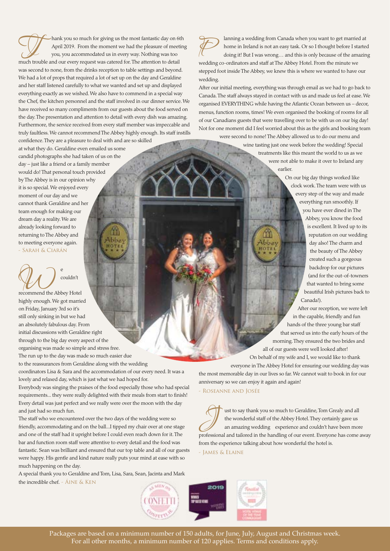Thank you so much for giving us the most fantastic day on 6th<br>April 2019. From the moment we had the pleasure of meeting<br>you, you accommodated us in every way. Nothing was too April 2019. From the moment we had the pleasure of meeting you, you accommodated us in every way. Nothing was too much trouble and our every request was catered for. The attention to detail was second to none, from the drinks reception to table settings and beyond. We had a lot of props that required a lot of set up on the day and Geraldine and her staff listened carefully to what we wanted and set up and displayed everything exactly as we wished. We also have to commend in a special way the Chef, the kitchen personnel and the staff involved in our dinner service. We have received so many compliments from our guests about the food served on the day. The presentation and attention to detail with every dish was amazing. Furthermore, the service received from every staff member was impeccable and truly faultless. We cannot recommend The Abbey highly enough. Its staff instills confidence. They are a pleasure to deal with and are so skilled

at what they do. Geraldine even emailed us some candid photographs she had taken of us on the day – just like a friend or a family member would do! That personal touch provided by The Abbey is in our opinion why it is so special. We enjoyed every moment of our day and we cannot thank Geraldine and her team enough for making our dream day a reality. We are already looking forward to returning to The Abbey and to meeting everyone again. - Sarah & Ciarán

PU<sub>couldn't</sub><br>recommend the Abbey Hotel couldn't

highly enough. We got married on Friday, January 3rd so it's still only sinking in but we had an absolutely fabulous day. From initial discussions with Geraldine right through to the big day every aspect of the organising was made so simple and stress free. The run up to the day was made so much easier due

to the reassurances from Geraldine along with the wedding coordinators Lisa & Sara and the accommodation of our every need. It was a

lovely and relaxed day, which is just what we had hoped for.

Everybody was singing the praises of the food especially those who had special requirements... they were really delighted with their meals from start to finish! Every detail was just perfect and we really were over the moon with the day and just had so much fun.

The staff who we encountered over the two days of the wedding were so friendly, accommodating and on the ball...I tipped my chair over at one stage and one of the staff had it upright before I could even reach down for it. The bar and function room staff were attentive to every detail and the food was fantastic. Sean was brilliant and ensured that our top table and all of our guests were happy. His gentle and kind nature really puts your mind at ease with so much happening on the day.

A special thank you to Geraldine and Tom, Lisa, Sara, Sean, Jacinta and Mark the incredible chef. - ÁINE & KEN

anning a wedding from Canada when you want to get married at home in Ireland is not an easy task. Or so I thought before I started doing it! But I was wrong... and this is only because of the amazing und line are ordinator home in Ireland is not an easy task. Or so I thought before I started wedding co-ordinators and staff at The Abbey Hotel. From the minute we stepped foot inside The Abbey, we knew this is where we wanted to have our wedding.

After our initial meeting, everything was through email as we had to go back to Canada. The staff always stayed in contact with us and made us feel at ease. We organised EVERYTHING while having the Atlantic Ocean between us – decor, menus, function rooms, times! We even organised the booking of rooms for all of our Canadians guests that were travelling over to be with us on our big day! Not for one moment did I feel worried about this as the girls and booking team

were second to none! The Abbey allowed us to do our menu and wine tasting just one week before the wedding! Special treatments like this meant the world to us as we were not able to make it over to Ireland any earlier.

> On our big day things worked like clock work. The team were with us every step of the way and made everything run smoothly. If you have ever dined in The Abbey, you know the food is excellent. It lived up to its reputation on our wedding day also! The charm and the beauty of The Abbey created such a gorgeous backdrop for our pictures (and for the out-of-towners that wanted to bring some beautiful Irish pictures back to Canada!).

After our reception, we were left in the capable, friendly and fun hands of the three young bar staff that served us into the early hours of the morning. They ensured the two brides and all of our guests were well looked after!

On behalf of my wife and I, we would like to thank everyone in The Abbey Hotel for ensuring our wedding day was

the most memorable day in our lives so far. We cannot wait to book in for our anniversary so we can enjoy it again and again!

- Roseanne and Josée

US ust to say thank you so much to Geraldine, Tom Grealy and all the wonderful staff of the Abbey Hotel. They certainly gave us an amazing wedding experience and couldn't have been more the wonderful staff of the Abbey Hotel. They certainly gave us professional and tailored in the handling of our event. Everyone has come away from the experience talking about how wonderful the hotel is.

- James & Elaine



Packages are based on a minimum number of 150 adults, for June, July, August and Christmas week. For all other months, a minimum number of 120 applies. Terms and conditions apply.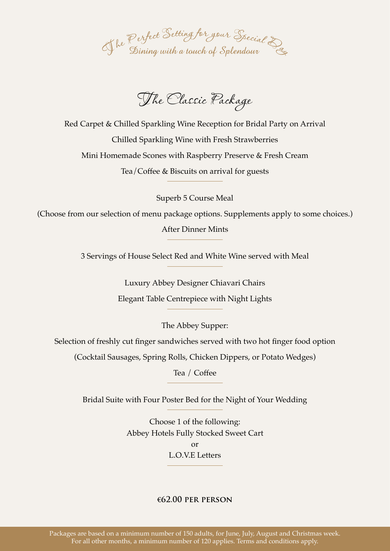

The Classic Package

Red Carpet & Chilled Sparkling Wine Reception for Bridal Party on Arrival Chilled Sparkling Wine with Fresh Strawberries Mini Homemade Scones with Raspberry Preserve & Fresh Cream Tea/Coffee & Biscuits on arrival for guests

Superb 5 Course Meal

(Choose from our selection of menu package options. Supplements apply to some choices.)

After Dinner Mints

3 Servings of House Select Red and White Wine served with Meal

Luxury Abbey Designer Chiavari Chairs Elegant Table Centrepiece with Night Lights

The Abbey Supper:

Selection of freshly cut finger sandwiches served with two hot finger food option

(Cocktail Sausages, Spring Rolls, Chicken Dippers, or Potato Wedges)

Tea / Coffee

Bridal Suite with Four Poster Bed for the Night of Your Wedding

Choose 1 of the following: Abbey Hotels Fully Stocked Sweet Cart or L.O.V.E Letters

## **€62.00 per person**

Packages are based on a minimum number of 150 adults, for June, July, August and Christmas week. For all other months, a minimum number of 120 applies. Terms and conditions apply.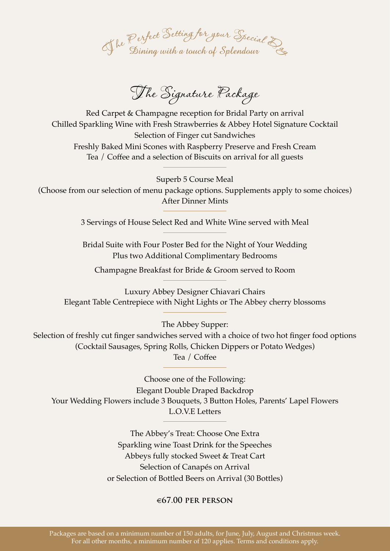

The Signature Package

Red Carpet & Champagne reception for Bridal Party on arrival Chilled Sparkling Wine with Fresh Strawberries & Abbey Hotel Signature Cocktail Selection of Finger cut Sandwiches Freshly Baked Mini Scones with Raspberry Preserve and Fresh Cream Tea / Coffee and a selection of Biscuits on arrival for all guests

Superb 5 Course Meal (Choose from our selection of menu package options. Supplements apply to some choices) After Dinner Mints

3 Servings of House Select Red and White Wine served with Meal

Bridal Suite with Four Poster Bed for the Night of Your Wedding Plus two Additional Complimentary Bedrooms

Champagne Breakfast for Bride & Groom served to Room

Luxury Abbey Designer Chiavari Chairs Elegant Table Centrepiece with Night Lights or The Abbey cherry blossoms

The Abbey Supper:

Selection of freshly cut finger sandwiches served with a choice of two hot finger food options (Cocktail Sausages, Spring Rolls, Chicken Dippers or Potato Wedges) Tea / Coffee

Choose one of the Following: Elegant Double Draped Backdrop Your Wedding Flowers include 3 Bouquets, 3 Button Holes, Parents' Lapel Flowers L.O.V.E Letters

> The Abbey's Treat: Choose One Extra Sparkling wine Toast Drink for the Speeches Abbeys fully stocked Sweet & Treat Cart Selection of Canapés on Arrival or Selection of Bottled Beers on Arrival (30 Bottles)

## €**67.00 per person**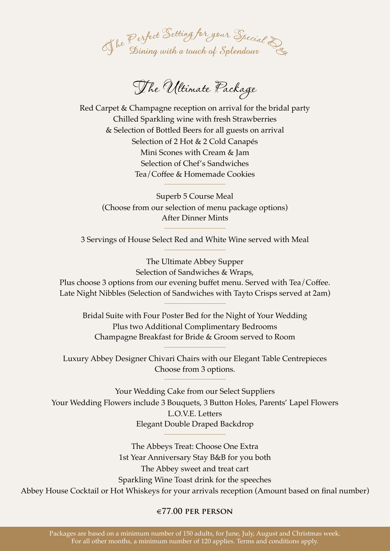

The Ultimate Package

Red Carpet & Champagne reception on arrival for the bridal party Chilled Sparkling wine with fresh Strawberries & Selection of Bottled Beers for all guests on arrival Selection of 2 Hot & 2 Cold Canapés Mini Scones with Cream & Jam Selection of Chef's Sandwiches Tea/Coffee & Homemade Cookies

Superb 5 Course Meal (Choose from our selection of menu package options) After Dinner Mints

3 Servings of House Select Red and White Wine served with Meal

The Ultimate Abbey Supper Selection of Sandwiches & Wraps, Plus choose 3 options from our evening buffet menu. Served with Tea/Coffee. Late Night Nibbles (Selection of Sandwiches with Tayto Crisps served at 2am)

Bridal Suite with Four Poster Bed for the Night of Your Wedding Plus two Additional Complimentary Bedrooms Champagne Breakfast for Bride & Groom served to Room

Luxury Abbey Designer Chivari Chairs with our Elegant Table Centrepieces Choose from 3 options.

Your Wedding Cake from our Select Suppliers Your Wedding Flowers include 3 Bouquets, 3 Button Holes, Parents' Lapel Flowers L.O.V.E. Letters Elegant Double Draped Backdrop

The Abbeys Treat: Choose One Extra 1st Year Anniversary Stay B&B for you both The Abbey sweet and treat cart Sparkling Wine Toast drink for the speeches Abbey House Cocktail or Hot Whiskeys for your arrivals reception (Amount based on final number)

#### €**77.00 per person**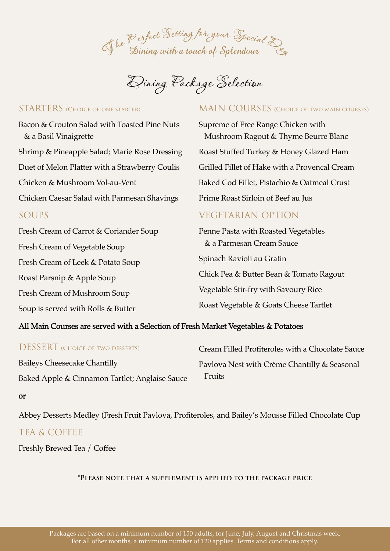

Dining Package Selection

## STARTERS (CHOICE OF ONE STARTER)

Bacon & Crouton Salad with Toasted Pine Nuts & a Basil Vinaigrette Shrimp & Pineapple Salad; Marie Rose Dressing Duet of Melon Platter with a Strawberry Coulis Chicken & Mushroom Vol-au-Vent Chicken Caesar Salad with Parmesan Shavings SOUPS Fresh Cream of Carrot & Coriander Soup

Fresh Cream of Vegetable Soup Fresh Cream of Leek & Potato Soup Roast Parsnip & Apple Soup Fresh Cream of Mushroom Soup Soup is served with Rolls & Butter

## MAIN COURSES (CHOICE OF TWO MAIN COURSES)

Supreme of Free Range Chicken with Mushroom Ragout & Thyme Beurre Blanc Roast Stuffed Turkey & Honey Glazed Ham Grilled Fillet of Hake with a Provencal Cream Baked Cod Fillet, Pistachio & Oatmeal Crust Prime Roast Sirloin of Beef au Jus

# VEGETARIAN OPTION

Penne Pasta with Roasted Vegetables & a Parmesan Cream Sauce Spinach Ravioli au Gratin Chick Pea & Butter Bean & Tomato Ragout Vegetable Stir-fry with Savoury Rice Roast Vegetable & Goats Cheese Tartlet

## All Main Courses are served with a Selection of Fresh Market Vegetables & Potatoes

| <b>DESSERT</b> (CHOICE OF TWO DESSERTS)        | Cream Filled Profiteroles with a Chocolate Sauce |
|------------------------------------------------|--------------------------------------------------|
| <b>Baileys Cheesecake Chantilly</b>            | Pavlova Nest with Crème Chantilly & Seasonal     |
| Baked Apple & Cinnamon Tartlet; Anglaise Sauce | Fruits                                           |

#### or

Abbey Desserts Medley (Fresh Fruit Pavlova, Profiteroles, and Bailey's Mousse Filled Chocolate Cup

# TEA & COFFEE

Freshly Brewed Tea / Coffee

## **\*Please note that a supplement is applied to the package price**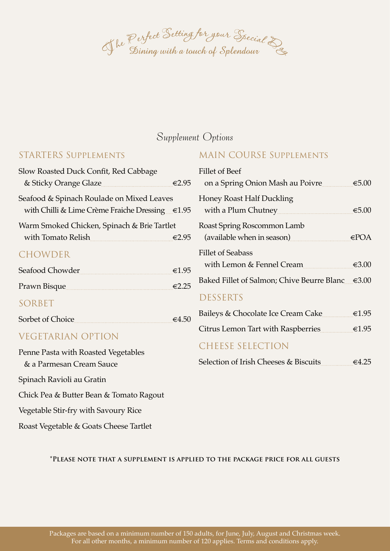

# Supplement Options

## STARTERS Supplements

| Slow Roasted Duck Confit, Red Cabbage                                                        |       |
|----------------------------------------------------------------------------------------------|-------|
| & Sticky Orange Glaze                                                                        | €2.95 |
| Seafood & Spinach Roulade on Mixed Leaves<br>with Chilli & Lime Crème Fraiche Dressing €1.95 |       |
| Warm Smoked Chicken, Spinach & Brie Tartlet<br>with Tomato Relish                            | €2.95 |
| <b>CHOWDER</b>                                                                               |       |
| Seafood Chowder                                                                              | €1.95 |
| Prawn Bisque                                                                                 | €2.25 |
| SORBET                                                                                       |       |
| Sorbet of Choice                                                                             | ∈4.50 |

# VEGETARIAN OPTION

Penne Pasta with Roasted Vegetables & a Parmesan Cream Sauce Spinach Ravioli au Gratin Chick Pea & Butter Bean & Tomato Ragout Vegetable Stir-fry with Savoury Rice

Roast Vegetable & Goats Cheese Tartlet

# MAIN COURSE Supplements

| <b>Fillet of Beef</b><br>on a Spring Onion Mash au Poivre  | €5.00           |
|------------------------------------------------------------|-----------------|
| <b>Honey Roast Half Duckling</b><br>with a Plum Chutney    | €5.00           |
| Roast Spring Roscommon Lamb<br>(available when in season)  | $\in$ POA       |
| <b>Fillet of Seabass</b><br>with Lemon & Fennel Cream      | €3.00           |
| Baked Fillet of Salmon; Chive Beurre Blanc $\epsilon$ 3.00 |                 |
| <b>DESSERTS</b>                                            |                 |
| Baileys & Chocolate Ice Cream Cake                         | $\epsilon$ 1.95 |
| Citrus Lemon Tart with Raspberries                         | $\epsilon$ 1.95 |
| CHEESE SELECTION                                           |                 |

|  | Selection of Irish Cheeses & Biscuits | $\epsilon$ 4.25 |
|--|---------------------------------------|-----------------|
|--|---------------------------------------|-----------------|

### **\*Please note that a supplement is applied to the package price for all guests**

Packages are based on a minimum number of 150 adults, for June, July, August and Christmas week. For all other months, a minimum number of 120 applies. Terms and conditions apply.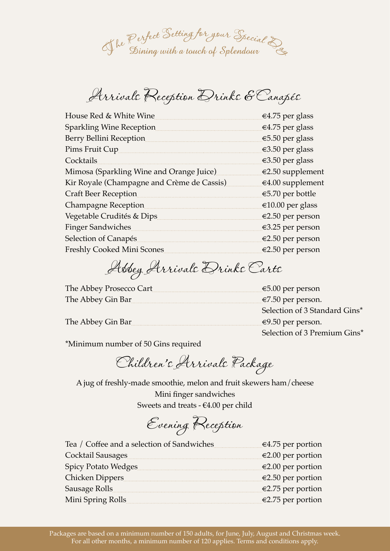

Arrivals Reception Drinks & Canapés

| €4.75 per glass    |
|--------------------|
| $€4.75$ per glass  |
| €5.50 per glass    |
| $€3.50$ per glass  |
| €3.50 per glass    |
| €2.50 supplement   |
| $€4.00$ supplement |
| €5.70 per bottle   |
| €10.00 per glass   |
| €2.50 per person   |
| €3.25 per person   |
| €2.50 per person   |
| €2.50 per person   |
|                    |

Abbey Arrivals Drinks Carts

| The Abbey Prosecco Cart | $€5.00$ per person            |
|-------------------------|-------------------------------|
| The Abbey Gin Bar       | $\epsilon$ 7.50 per person.   |
|                         | Selection of 3 Standard Gins* |
| The Abbey Gin Bar       | <del>€</del> 9.50 per person. |
|                         | Selection of 3 Premium Gins*  |

\*Minimum number of 50 Gins required

Children's Arrivals Package

A jug of freshly-made smoothie, melon and fruit skewers ham/cheese Mini finger sandwiches Sweets and treats - €4.00 per child

Evening Reception

| Tea / Coffee and a selection of Sandwiches | €4.75 per portion           |
|--------------------------------------------|-----------------------------|
| Cocktail Sausages                          | $\epsilon$ 2.00 per portion |
| Spicy Potato Wedges                        | $\epsilon$ 2.00 per portion |
| Chicken Dippers                            | $€2.50$ per portion         |
| Sausage Rolls                              | €2.75 per portion           |
| Mini Spring Rolls                          | €2.75 per portion           |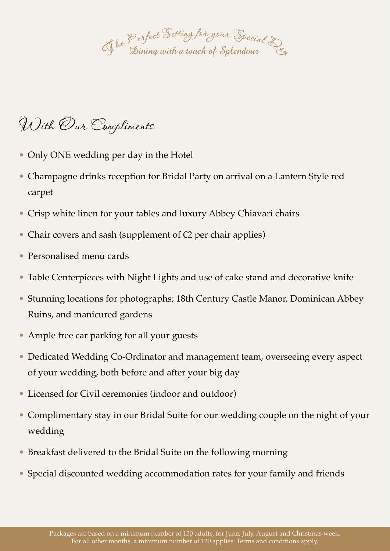of he Perfect Setting for your Special D<br>Sining with a touch of Splendour

# With Our Compliments

- Only ONE wedding per day in the Hotel
- Champagne drinks reception for Bridal Party on arrival on a Lantern Style red carpet
- Crisp white linen for your tables and luxury Abbey Chiavari chairs
- Chair covers and sash (supplement of €2 per chair applies)
- Personalised menu cards
- Table Centerpieces with Night Lights and use of cake stand and decorative knife
- Stunning locations for photographs; 18th Century Castle Manor, Dominican Abbey Ruins, and manicured gardens
- Ample free car parking for all your guests
- Dedicated Wedding Co-Ordinator and management team, overseeing every aspect of your wedding, both before and after your big day
- Licensed for Civil ceremonies (indoor and outdoor)
- Complimentary stay in our Bridal Suite for our wedding couple on the night of your wedding
- Breakfast delivered to the Bridal Suite on the following morning
- Special discounted wedding accommodation rates for your family and friends